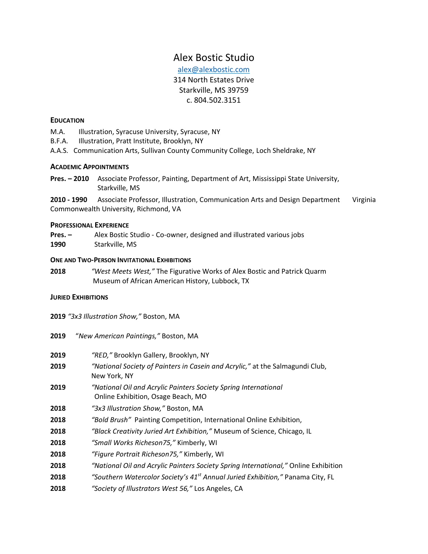# Alex Bostic Studio

[alex@alexbostic.com](mailto:alex@alexbostic.com) 314 North Estates Drive Starkville, MS 39759 c. 804.502.3151

### **EDUCATION**

- M.A. Illustration, Syracuse University, Syracuse, NY
- B.F.A. Illustration, Pratt Institute, Brooklyn, NY
- A.A.S. Communication Arts, Sullivan County Community College, Loch Sheldrake, NY

### **ACADEMIC APPOINTMENTS**

**Pres. – 2010** Associate Professor, Painting, Department of Art, Mississippi State University, Starkville, MS

**2010 - 1990** Associate Professor, Illustration, Communication Arts and Design Department Virginia Commonwealth University, Richmond, VA

#### **PROFESSIONAL EXPERIENCE**

**Pres. –** Alex Bostic Studio - Co-owner, designed and illustrated various jobs **1990** Starkville, MS

#### **ONE AND TWO-PERSON INVITATIONAL EXHIBITIONS**

**2018** *"West Meets West,"* The Figurative Works of Alex Bostic and Patrick Quarm Museum of African American History, Lubbock, TX

#### **JURIED EXHIBITIONS**

**2019** *"3x3 Illustration Show,"* Boston, MA

**2019** "*New American Paintings,"* Boston, MA

| 2019 | "RED," Brooklyn Gallery, Brooklyn, NY                                                                 |
|------|-------------------------------------------------------------------------------------------------------|
| 2019 | "National Society of Painters in Casein and Acrylic," at the Salmagundi Club,<br>New York, NY         |
| 2019 | "National Oil and Acrylic Painters Society Spring International<br>Online Exhibition, Osage Beach, MO |
| 2018 | "3x3 Illustration Show," Boston, MA                                                                   |
| 2018 | "Bold Brush" Painting Competition, International Online Exhibition,                                   |
| 2018 | "Black Creativity Juried Art Exhibition," Museum of Science, Chicago, IL                              |
| 2018 | "Small Works Richeson75," Kimberly, WI                                                                |
| 2018 | "Figure Portrait Richeson75," Kimberly, WI                                                            |
| 2018 | "National Oil and Acrylic Painters Society Spring International," Online Exhibition                   |
| 2018 | "Southern Watercolor Society's 41 <sup>st</sup> Annual Juried Exhibition," Panama City, FL            |
| 2018 | "Society of Illustrators West 56," Los Angeles, CA                                                    |
|      |                                                                                                       |